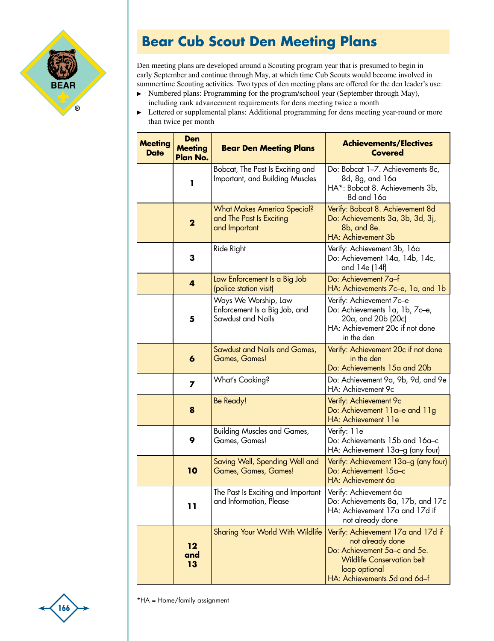

## **Bear Cub Scout Den Meeting Plans**

Den meeting plans are developed around a Scouting program year that is presumed to begin in early September and continue through May, at which time Cub Scouts would become involved in summertime Scouting activities. Two types of den meeting plans are offered for the den leader's use:

- Numbered plans: Programming for the program/school year (September through May),  $\blacktriangleright$ including rank advancement requirements for dens meeting twice a month
- Lettered or supplemental plans: Additional programming for dens meeting year-round or more  $\blacktriangleright$ than twice per month

| <b>Meeting</b><br><b>Date</b> | Den<br><b>Meeting</b><br>Plan No. | <b>Bear Den Meeting Plans</b>                                                   | <b>Achievements/Electives</b><br><b>Covered</b>                                                                                                                              |
|-------------------------------|-----------------------------------|---------------------------------------------------------------------------------|------------------------------------------------------------------------------------------------------------------------------------------------------------------------------|
|                               | ı                                 | Bobcat, The Past Is Exciting and<br>Important, and Building Muscles             | Do: Bobcat 1-7. Achievements 8c,<br>8d, 8g, and 16a<br>HA*: Bobcat 8. Achievements 3b,<br>8d and 16a                                                                         |
|                               | $\mathbf 2$                       | <b>What Makes America Special?</b><br>and The Past Is Exciting<br>and Important | Verify: Bobcat 8. Achievement 8d<br>Do: Achievements 3a, 3b, 3d, 3j,<br>8b, and 8e.<br><b>HA: Achievement 3b</b>                                                             |
|                               | 3                                 | Ride Right                                                                      | Verify: Achievement 3b, 16a<br>Do: Achievement 14a, 14b, 14c,<br>and 14e (14f)                                                                                               |
|                               | 4                                 | Law Enforcement Is a Big Job<br>(police station visit)                          | Do: Achievement 7a-f<br>HA: Achievements 7c–e, 1a, and 1b                                                                                                                    |
|                               | 5                                 | Ways We Worship, Law<br>Enforcement Is a Big Job, and<br>Sawdust and Nails      | Verify: Achievement 7c-e<br>Do: Achievements 1a, 1b, 7c-e,<br>20a, and 20b (20c)<br>HA: Achievement 20c if not done<br>in the den                                            |
|                               | 6                                 | <b>Sawdust and Nails and Games,</b><br><b>Games, Games!</b>                     | Verify: Achievement 20c if not done<br>in the den<br>Do: Achievements 15a and 20b                                                                                            |
|                               | $\overline{ }$                    | What's Cooking?                                                                 | Do: Achievement 9a, 9b, 9d, and 9e<br>HA: Achievement 9c                                                                                                                     |
|                               | 8                                 | Be Ready!                                                                       | Verify: Achievement 9c<br>Do: Achievement 11a-e and 11g<br>HA: Achievement 11e                                                                                               |
|                               | 9                                 | <b>Building Muscles and Games,</b><br>Games, Games!                             | Verify: 11e<br>Do: Achievements 15b and 16a-c<br>HA: Achievement 13a-g (any four)                                                                                            |
|                               | 10                                | Saving Well, Spending Well and<br>Games, Games, Games!                          | Verify: Achievement 13a-g (any four)<br>Do: Achievement 15a-c<br>HA: Achievement 6a                                                                                          |
|                               | 11                                | The Past Is Exciting and Important<br>and Information, Please                   | Verify: Achievement 6a<br>Do: Achievements 8a, 17b, and 17c<br>HA: Achievement 17a and 17d if<br>not already done                                                            |
|                               | 12<br>and<br>13                   | Sharing Your World With Wildlife                                                | Verify: Achievement 17a and 17d if<br>not already done<br>Do: Achievement 5a-c and 5e.<br><b>Wildlife Conservation belt</b><br>loop optional<br>HA: Achievements 5d and 6d-f |